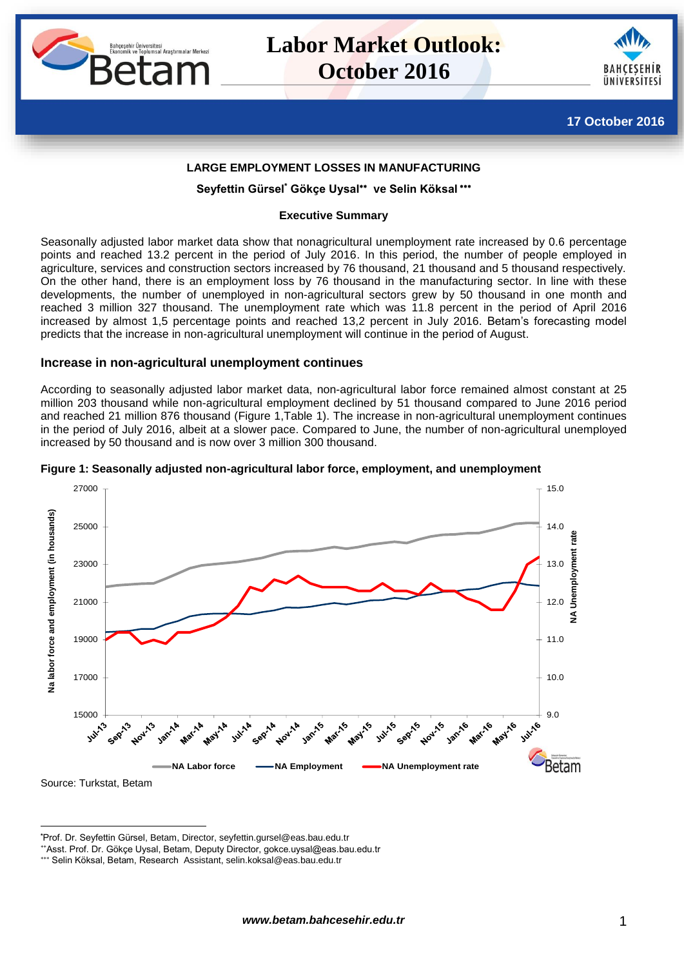

# **Labor Market Outlook: October 2016**



**17 October 2016**

#### **LARGE EMPLOYMENT LOSSES IN MANUFACTURING**

#### **Seyfettin Gürsel\* Gökçe Uysal ve Selin Köksal**

#### **Executive Summary**

Seasonally adjusted labor market data show that nonagricultural unemployment rate increased by 0.6 percentage points and reached 13.2 percent in the period of July 2016. In this period, the number of people employed in agriculture, services and construction sectors increased by 76 thousand, 21 thousand and 5 thousand respectively. On the other hand, there is an employment loss by 76 thousand in the manufacturing sector. In line with these developments, the number of unemployed in non-agricultural sectors grew by 50 thousand in one month and reached 3 million 327 thousand. The unemployment rate which was 11.8 percent in the period of April 2016 increased by almost 1,5 percentage points and reached 13,2 percent in July 2016. Betam's forecasting model predicts that the increase in non-agricultural unemployment will continue in the period of August.

#### **Increase in non-agricultural unemployment continues**

According to seasonally adjusted labor market data, non-agricultural labor force remained almost constant at 25 million 203 thousand while non-agricultural employment declined by 51 thousand compared to June 2016 period and reached 21 million 876 thousand [\(Figure 1,](#page-0-0)[Table 1\)](#page-5-0). The increase in non-agricultural unemployment continues in the period of July 2016, albeit at a slower pace. Compared to June, the number of non-agricultural unemployed increased by 50 thousand and is now over 3 million 300 thousand.



#### <span id="page-0-0"></span>**Figure 1: Seasonally adjusted non-agricultural labor force, employment, and unemployment**

 $\overline{a}$ 

**<sup>\*</sup>**Prof. Dr. Seyfettin Gürsel, Betam, Director, seyfettin.gursel@eas.bau.edu.tr

Asst. Prof. Dr. Gökçe Uysal, Betam, Deputy Director, gokce.uysal@eas.bau.edu.tr

<sup>\*\*\*</sup> Selin Köksal, Betam, Research Assistant, selin.koksal@eas.bau.edu.tr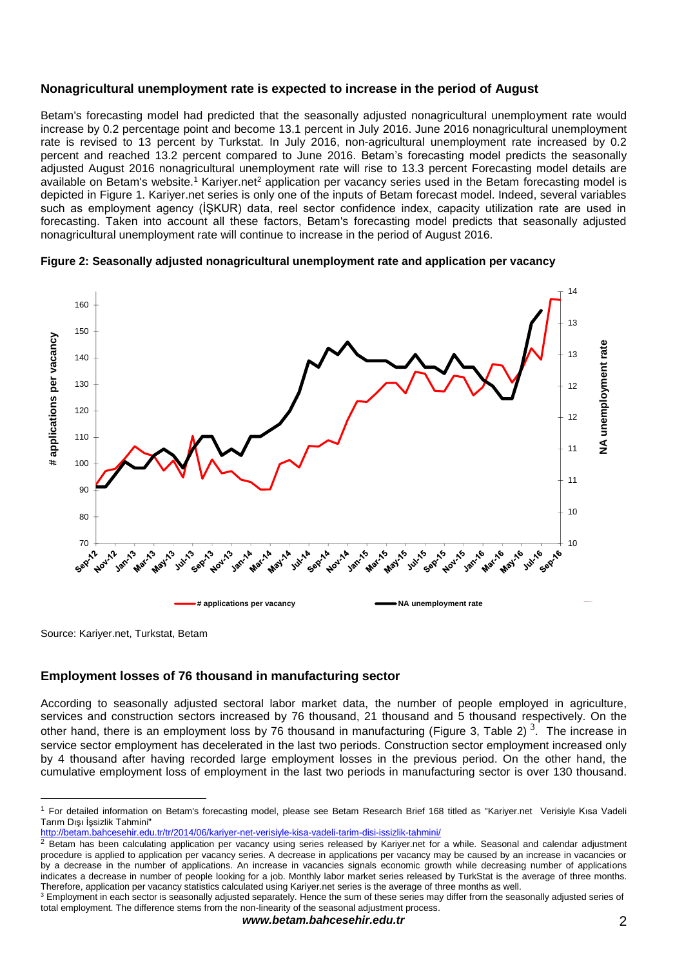# **Nonagricultural unemployment rate is expected to increase in the period of August**

Betam's forecasting model had predicted that the seasonally adjusted nonagricultural unemployment rate would increase by 0.2 percentage point and become 13.1 percent in July 2016. June 2016 nonagricultural unemployment rate is revised to 13 percent by Turkstat. In July 2016, non-agricultural unemployment rate increased by 0.2 percent and reached 13.2 percent compared to June 2016. Betam's forecasting model predicts the seasonally adjusted August 2016 nonagricultural unemployment rate will rise to 13.3 percent Forecasting model details are available on Betam's website.<sup>1</sup> Kariyer.net<sup>2</sup> application per vacancy series used in the Betam forecasting model is depicted in [Figure 1.](#page-0-0) Kariyer.net series is only one of the inputs of Betam forecast model. Indeed, several variables such as employment agency (İŞKUR) data, reel sector confidence index, capacity utilization rate are used in forecasting. Taken into account all these factors, Betam's forecasting model predicts that seasonally adjusted nonagricultural unemployment rate will continue to increase in the period of August 2016.





Source: Kariyer.net, Turkstat, Betam

 $\overline{a}$ 

## **Employment losses of 76 thousand in manufacturing sector**

According to seasonally adjusted sectoral labor market data, the number of people employed in agriculture, services and construction sectors increased by 76 thousand, 21 thousand and 5 thousand respectively. On the other hand, there is an employment loss by 76 thousand in manufacturing [\(Figure 3,](#page-2-0) [Table 2\)](#page-6-0)<sup>3</sup>. The increase in service sector employment has decelerated in the last two periods. Construction sector employment increased only by 4 thousand after having recorded large employment losses in the previous period. On the other hand, the cumulative employment loss of employment in the last two periods in manufacturing sector is over 130 thousand.

<http://betam.bahcesehir.edu.tr/tr/2014/06/kariyer-net-verisiyle-kisa-vadeli-tarim-disi-issizlik-tahmini/>

<sup>&</sup>lt;sup>1</sup> For detailed information on Betam's forecasting model, please see Betam Research Brief 168 titled as "Kariyer.net Verisiyle Kısa Vadeli<br>Tarım Dışı İşsizlik Tahmini" Tarım Dışı İşsizlik Tahmini"

<sup>2</sup> Betam has been calculating application per vacancy using series released by Kariyer.net for a while. Seasonal and calendar adjustment procedure is applied to application per vacancy series. A decrease in applications per vacancy may be caused by an increase in vacancies or by a decrease in the number of applications. An increase in vacancies signals economic growth while decreasing number of applications indicates a decrease in number of people looking for a job. Monthly labor market series released by TurkStat is the average of three months. Therefore, application per vacancy statistics calculated using Kariyer.net series is the average of three months as well.

<sup>&</sup>lt;sup>3</sup> Employment in each sector is seasonally adjusted separately. Hence the sum of these series may differ from the seasonally adjusted series of total employment. The difference stems from the non-linearity of the seasonal adjustment process.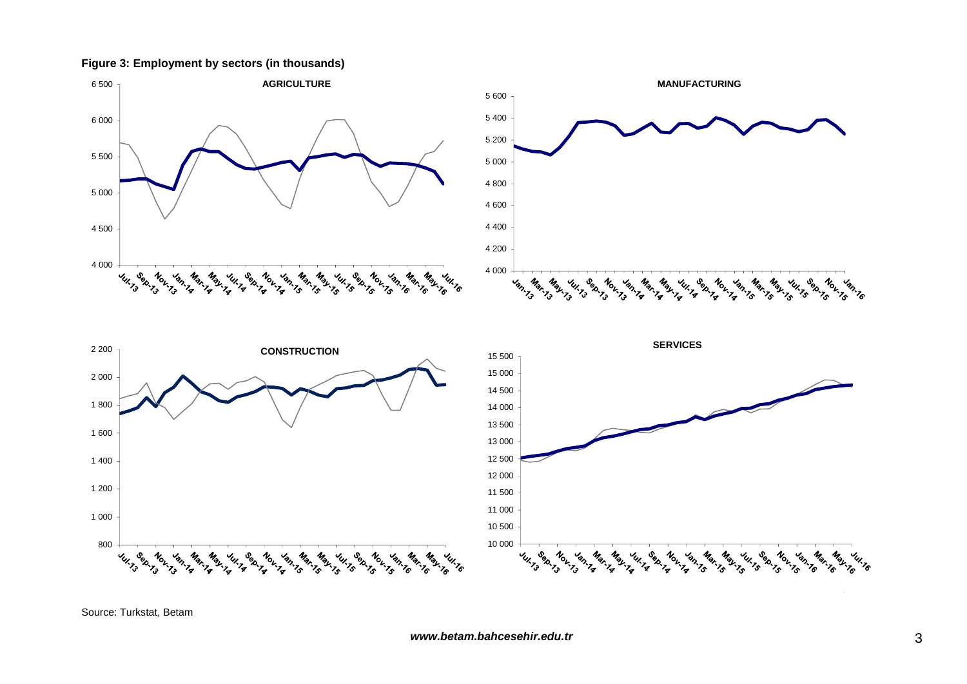#### **Figure 3: Employment by sectors (in thousands)**



<span id="page-2-0"></span>

Source: Turkstat, Betam

*www.betam.bahcesehir.edu.tr* 3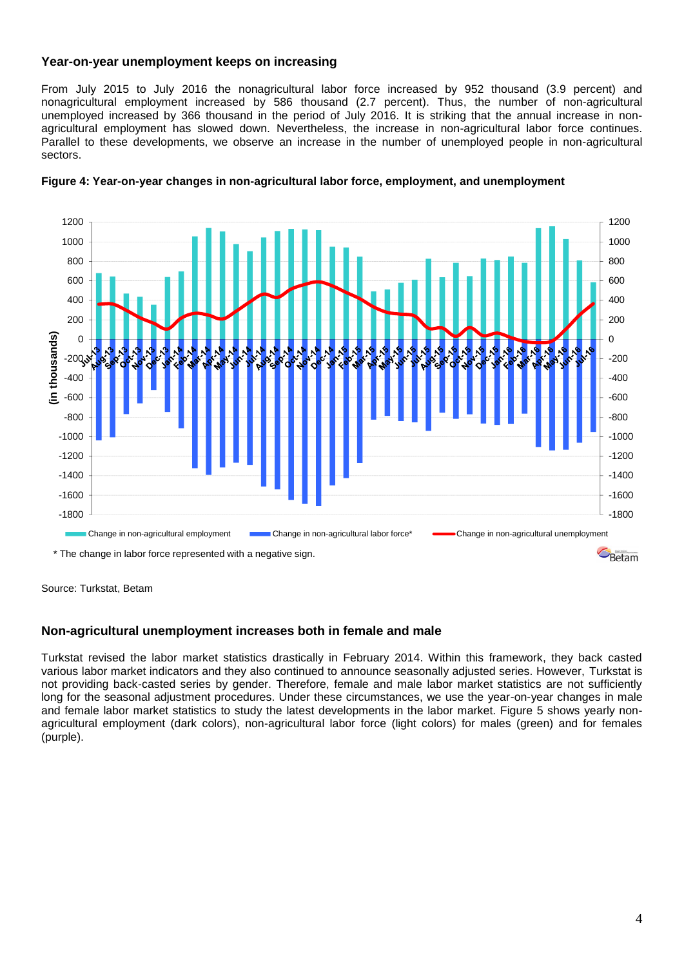## **Year-on-year unemployment keeps on increasing**

From July 2015 to July 2016 the nonagricultural labor force increased by 952 thousand (3.9 percent) and nonagricultural employment increased by 586 thousand (2.7 percent). Thus, the number of non-agricultural unemployed increased by 366 thousand in the period of July 2016. It is striking that the annual increase in nonagricultural employment has slowed down. Nevertheless, the increase in non-agricultural labor force continues. Parallel to these developments, we observe an increase in the number of unemployed people in non-agricultural sectors.





Source: Turkstat, Betam

## **Non-agricultural unemployment increases both in female and male**

Turkstat revised the labor market statistics drastically in February 2014. Within this framework, they back casted various labor market indicators and they also continued to announce seasonally adjusted series. However, Turkstat is not providing back-casted series by gender. Therefore, female and male labor market statistics are not sufficiently long for the seasonal adjustment procedures. Under these circumstances, we use the year-on-year changes in male and female labor market statistics to study the latest developments in the labor market. Figure 5 shows yearly nonagricultural employment (dark colors), non-agricultural labor force (light colors) for males (green) and for females (purple).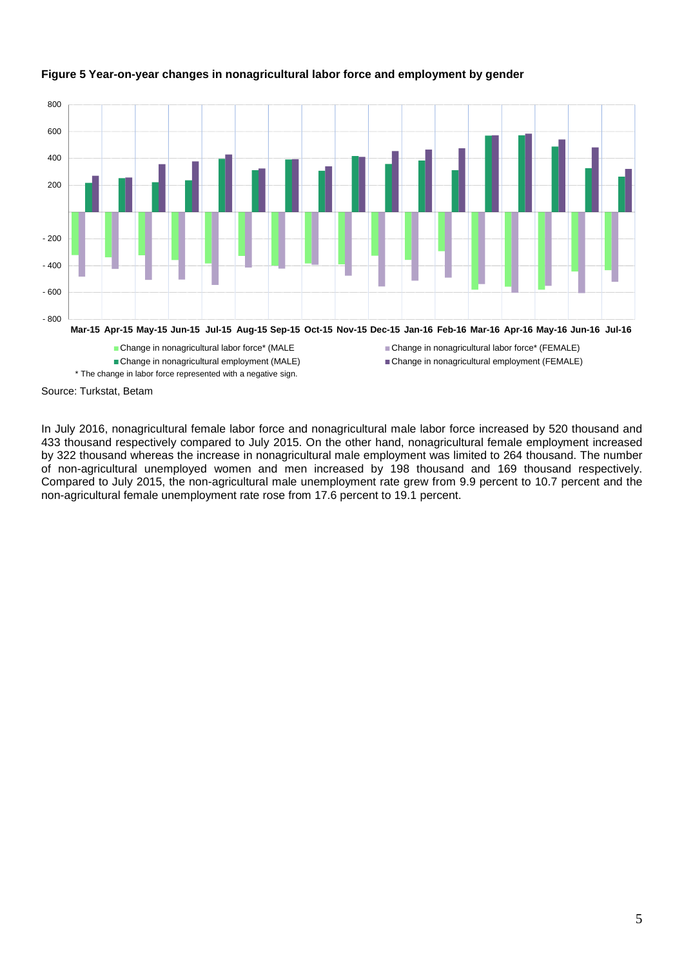

## **Figure 5 Year-on-year changes in nonagricultural labor force and employment by gender**

Source: Turkstat, Betam

In July 2016, nonagricultural female labor force and nonagricultural male labor force increased by 520 thousand and 433 thousand respectively compared to July 2015. On the other hand, nonagricultural female employment increased by 322 thousand whereas the increase in nonagricultural male employment was limited to 264 thousand. The number of non-agricultural unemployed women and men increased by 198 thousand and 169 thousand respectively. Compared to July 2015, the non-agricultural male unemployment rate grew from 9.9 percent to 10.7 percent and the non-agricultural female unemployment rate rose from 17.6 percent to 19.1 percent.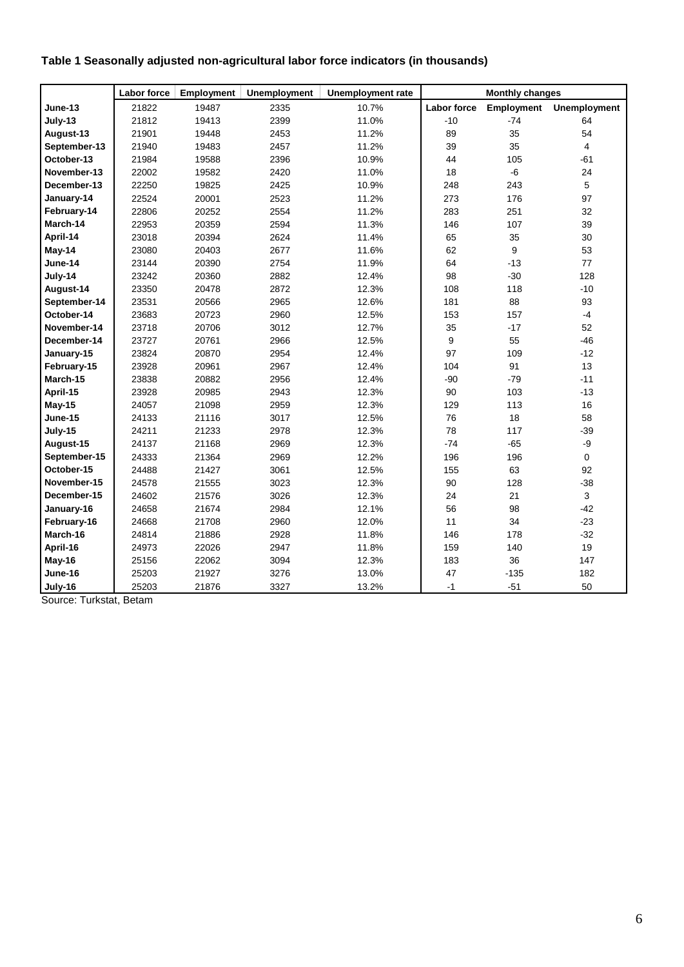# <span id="page-5-0"></span>**Table 1 Seasonally adjusted non-agricultural labor force indicators (in thousands)**

|               | <b>Labor force</b> | Employment | <b>Unemployment</b> | Unemployment rate   | <b>Monthly changes</b> |            |                     |  |
|---------------|--------------------|------------|---------------------|---------------------|------------------------|------------|---------------------|--|
| June-13       | 21822              | 19487      | 2335                | 10.7%               | <b>Labor force</b>     | Employment | <b>Unemployment</b> |  |
| July-13       | 21812              | 19413      | 2399                | 11.0%               | $-10$                  | $-74$      | 64                  |  |
| August-13     | 21901              | 19448      | 2453                | 11.2%               | 89                     | 35         | 54                  |  |
| September-13  | 21940              | 19483      | 2457                | 11.2%               | 39                     |            | $\overline{4}$      |  |
| October-13    | 21984              | 19588      | 2396                | 10.9%               | 44                     |            | $-61$               |  |
| November-13   | 22002              | 19582      | 2420                | $-6$<br>11.0%<br>18 |                        |            | 24                  |  |
| December-13   | 22250              | 19825      | 2425                | 10.9%               | 248<br>243             |            | 5                   |  |
| January-14    | 22524              | 20001      | 2523                | 11.2%               | 273                    | 176        | 97                  |  |
| February-14   | 22806              | 20252      | 2554                | 11.2%               | 283                    | 251        | 32                  |  |
| March-14      | 22953              | 20359      | 2594                | 11.3%               | 146                    | 107        | 39                  |  |
| April-14      | 23018              | 20394      | 2624                | 11.4%               | 65                     | 35         | 30                  |  |
| May-14        | 23080              | 20403      | 2677                | 11.6%               | 62                     | 9          | 53                  |  |
| June-14       | 23144              | 20390      | 2754                | 11.9%               | 64                     | $-13$      | 77                  |  |
| July-14       | 23242              | 20360      | 2882                | 12.4%               | 98                     | $-30$      | 128                 |  |
| August-14     | 23350              | 20478      | 2872                | 12.3%               | 108                    | 118        | $-10$               |  |
| September-14  | 23531              | 20566      | 2965                | 12.6%               | 181                    | 88         | 93                  |  |
| October-14    | 23683              | 20723      | 2960                | 12.5%               | 153                    | 157        | $-4$                |  |
| November-14   | 23718              | 20706      | 3012                | 12.7%               | 35                     |            | 52                  |  |
| December-14   | 23727              | 20761      | 2966                | 12.5%               | 9<br>55                |            | $-46$               |  |
| January-15    | 23824              | 20870      | 2954                | 12.4%               | 97                     | 109        | $-12$               |  |
| February-15   | 23928              | 20961      | 2967                | 12.4%               | 104                    | 91         | 13                  |  |
| March-15      | 23838              | 20882      | 2956                | 12.4%               | $-90$                  | $-79$      | $-11$               |  |
| April-15      | 23928              | 20985      | 2943                | 12.3%               | 90                     | 103        | $-13$               |  |
| <b>May-15</b> | 24057              | 21098      | 2959                | 12.3%               | 129                    | 113        | 16                  |  |
| June-15       | 24133              | 21116      | 3017                | 12.5%               | 76                     | 18         | 58                  |  |
| July-15       | 24211              | 21233      | 2978                | 12.3%               | 78                     | 117        | $-39$               |  |
| August-15     | 24137              | 21168      | 2969                | 12.3%               | $-74$                  | $-65$      | -9                  |  |
| September-15  | 24333              | 21364      | 2969                | 12.2%               | 196                    | 196        | $\mathbf 0$         |  |
| October-15    | 24488              | 21427      | 3061                | 12.5%               | 155                    | 63         | 92                  |  |
| November-15   | 24578              | 21555      | 3023                | 12.3%               | 90                     | 128        | $-38$               |  |
| December-15   | 24602              | 21576      | 3026                | 12.3%               | 24                     | 21         | 3                   |  |
| January-16    | 24658              | 21674      | 2984                | 12.1%               | 56                     | 98         | $-42$               |  |
| February-16   | 24668              | 21708      | 2960                | 12.0%               | 11                     | 34         | $-23$               |  |
| March-16      | 24814              | 21886      | 2928                | 11.8%               | 146                    | 178        | $-32$               |  |
| April-16      | 24973              | 22026      | 2947                | 11.8%               | 159                    | 140        | 19                  |  |
| May-16        | 25156              | 22062      | 3094                | 12.3%               | 183                    | 36         | 147                 |  |
| June-16       | 25203              | 21927      | 3276                | 13.0%               | 47<br>$-135$           |            | 182                 |  |
| July-16       | 25203              | 21876      | 3327                | 13.2%               | $-1$                   | $-51$      | 50                  |  |

Source: Turkstat, Betam